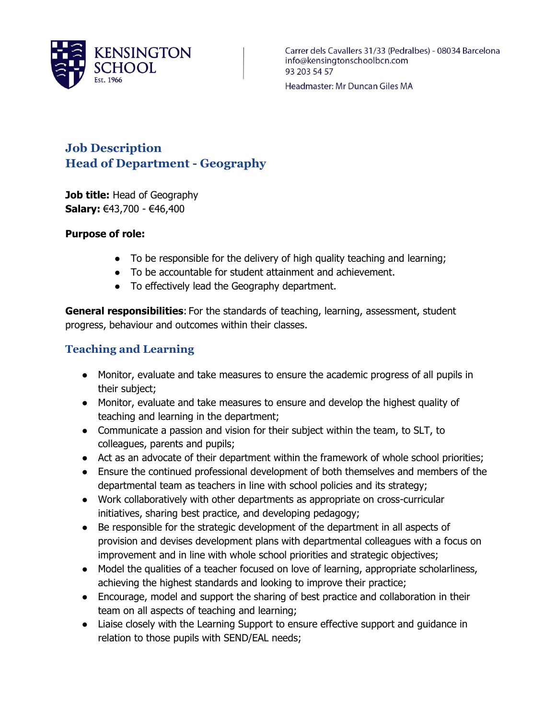

Carrer dels Cavallers 31/33 (Pedralbes) - 08034 Barcelona info@kensingtonschoolbcn.com 93 203 54 57

Headmaster: Mr Duncan Giles MA

# **Job Description Head of Department - Geography**

**Job title:** Head of Geography **Salary:** €43,700 - €46,400

#### **Purpose of role:**

- To be responsible for the delivery of high quality teaching and learning;
- To be accountable for student attainment and achievement.
- To effectively lead the Geography department.

**General responsibilities**: For the standards of teaching, learning, assessment, student progress, behaviour and outcomes within their classes.

#### **Teaching and Learning**

- Monitor, evaluate and take measures to ensure the academic progress of all pupils in their subject;
- Monitor, evaluate and take measures to ensure and develop the highest quality of teaching and learning in the department;
- Communicate a passion and vision for their subject within the team, to SLT, to colleagues, parents and pupils;
- Act as an advocate of their department within the framework of whole school priorities;
- Ensure the continued professional development of both themselves and members of the departmental team as teachers in line with school policies and its strategy;
- Work collaboratively with other departments as appropriate on cross-curricular initiatives, sharing best practice, and developing pedagogy;
- Be responsible for the strategic development of the department in all aspects of provision and devises development plans with departmental colleagues with a focus on improvement and in line with whole school priorities and strategic objectives;
- Model the qualities of a teacher focused on love of learning, appropriate scholarliness, achieving the highest standards and looking to improve their practice;
- Encourage, model and support the sharing of best practice and collaboration in their team on all aspects of teaching and learning;
- Liaise closely with the Learning Support to ensure effective support and guidance in relation to those pupils with SEND/EAL needs;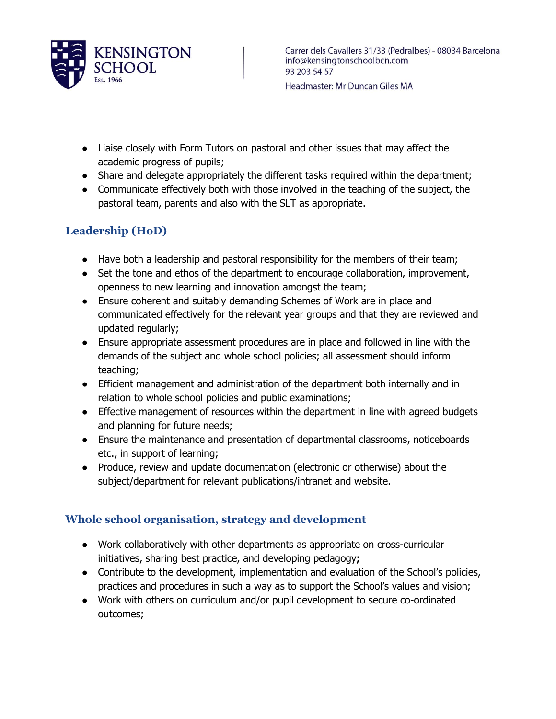

- Liaise closely with Form Tutors on pastoral and other issues that may affect the academic progress of pupils;
- Share and delegate appropriately the different tasks required within the department;
- Communicate effectively both with those involved in the teaching of the subject, the pastoral team, parents and also with the SLT as appropriate.

# **Leadership (HoD)**

- Have both a leadership and pastoral responsibility for the members of their team;
- Set the tone and ethos of the department to encourage collaboration, improvement, openness to new learning and innovation amongst the team;
- Ensure coherent and suitably demanding Schemes of Work are in place and communicated effectively for the relevant year groups and that they are reviewed and updated regularly;
- Ensure appropriate assessment procedures are in place and followed in line with the demands of the subject and whole school policies; all assessment should inform teaching;
- Efficient management and administration of the department both internally and in relation to whole school policies and public examinations;
- Effective management of resources within the department in line with agreed budgets and planning for future needs;
- Ensure the maintenance and presentation of departmental classrooms, noticeboards etc., in support of learning;
- Produce, review and update documentation (electronic or otherwise) about the subject/department for relevant publications/intranet and website.

### **Whole school organisation, strategy and development**

- Work collaboratively with other departments as appropriate on cross-curricular initiatives, sharing best practice, and developing pedagogy**;**
- Contribute to the development, implementation and evaluation of the School's policies, practices and procedures in such a way as to support the School's values and vision;
- Work with others on curriculum and/or pupil development to secure co-ordinated outcomes;